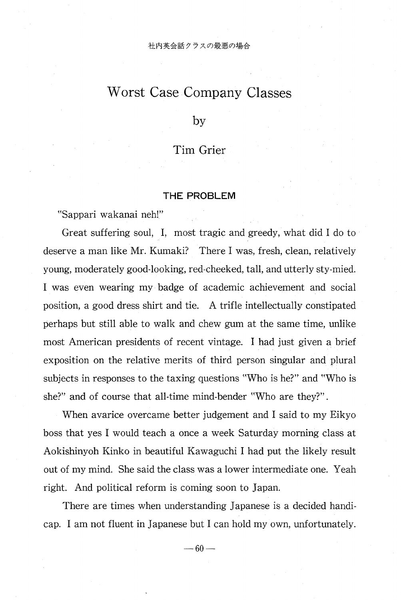# Worst Case Company Classes

by

## Tim Grier

### THE PROBLEM

"Sappari wakanai neh!"

Great suffering soul, I, most tragic and greedy, what did I do to deserve a man like Mr. Kumaki? There I was, fresh, clean, relatively young, moderately good-looking, red-cheeked, tall, and utterly sty-mied. I was even wearing my badge of academic achievement and social position, a good dress shirt and tie. A trifle intellectually constipated perhaps but still able to walk and chew gum at the same time, unlike most American presidents of recent vintage. I had just given a brief exposition on the relative merits of third person singular and plural subjects in responses to the taxing questions "Who is he?" and "Who is she?" and of course that all-time mind-bender "Who are they?" .

When avarice overcame better judgement and I said to my Eikyo boss that yes I would teach a once a week Saturday morning class at Aokishinyoh Kinko in beautiful Kawaguchi I had put the likely result out of my mind. She said the class was a lower intermediate one. Yeah right. And political reform is coming soon to Japan.

There are times when understanding Japanese is a decided handicap. I am not fluent in Japanese but I can hold my own, unfortunately.

 $-60-$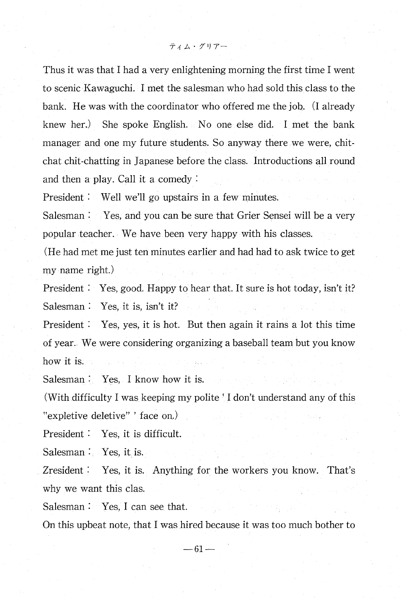Thus it was that I had a very enlightening morning the first time I went to scenic Kawaguchi. I met the salesman who had sold this class to the bank. He was with the coordinator who offered me the job. (I already knew her.) She spoke English. No one else did. I met the bank manager and one my future students. So anyway there we were, chitchat chit-chatting in Japanese before the class. Introductions all round and then a play. Call it a comedy

President : Well we'll go upstairs in a few minutes.

Salesman : Yes, and you can be sure that Grier Sensei will be a very popular teacher. We have been very happy with his classes.

(He had met me just ten minutes earlier and had had to ask twice to get my name right.)

President : Yes, good. Happy to hear that. It sure is hot today, isn't it? Salesman : Yes, it is, isn't it?

President : Yes, yes, it is hot. But then again it rains a lot this time of year. We were considering organizing a baseball team but you know how it is.

Salesman : Yes, I know how it is.

(With difficulty I was keeping my polite 'I don't understand any of this "expletive deletive" ' face on.)

President : Yes, it is difficult.

Salesman : Yes, it is.

Zresident : Yes, it is. Anything for the workers you know. That's why we want this clas.

Salesman : Yes, I can see that.

On this upbeat note, that I was hired because it was too much bother to

 $-61-$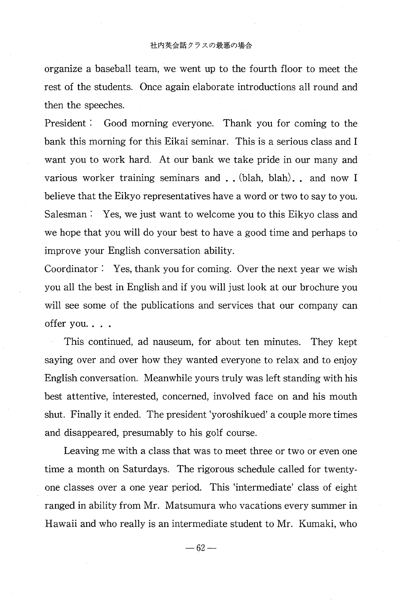#### 社内英会話クラスの最悪の場合

organize a baseball team, we went up to the fourth floor to meet the rest of the students. Once again elaborate introductions all round and then the speeches.

 President : Good morning everyone. Thank you for coming to the bank this morning for this Eikai seminar. This is a serious class and I want you to work hard. At our bank we take pride in our many and various worker training seminars and . . (blah, blah) . and now I believe that the Eikyo representatives have a word or two to say to you. Salesman : Yes, we just want to welcome you to this Eikyo class and we hope that you will do your best to have a good time and perhaps to improve your English conversation ability.

Coordinator : Yes, thank you for coming. Over the next year we wish you all the best in English and if you will just look at our brochure you will see some of the publications and services that our company can offer you.. . .

This continued, ad nauseum, for about ten minutes. They kept saying over and over how they wanted everyone to relax and to enjoy English conversation. Meanwhile yours truly was left standing with his best attentive, interested, concerned, involved face on and his mouth shut. Finally it ended. The president `yoroshikued' a couple more times and disappeared, presumably to his golf course.

Leaving me with a class that was to meet three or two or even one time a month on Saturdays. The rigorous schedule called for twentyone classes over a one year period. This 'intermediate' class of eight ranged in ability from Mr. Matsumura who vacations every summer in Hawaii and who really is an intermediate student to Mr. Kumaki, who

 $-62-$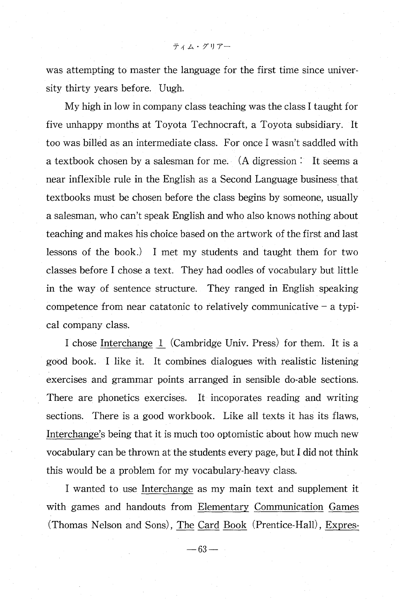was attempting to master the language for the first time since university thirty years before. Uugh.

My high in low in company class teaching was the class I taught for five unhappy months at Toyota Technocraft, a Toyota subsidiary. It too was billed as an intermediate class. For once I wasn't saddled with a textbook chosen by a salesman for me. (A digression : It seems a near inflexible rule in the English as a Second Language business that textbooks must be chosen before the class begins by someone, usually a salesman, who can't speak English and who also knows nothing about teaching and makes his choice based on the artwork of the first and last lessons of the book.) I met my students and taught them for two classes before I chose a text. They had oodles of vocabulary but little in the way of sentence structure. They ranged in English speaking competence from near catatonic to relatively communicative  $-$  a typical company class.

I chose Interchange 1 (Cambridge Univ. Press) for them. It is a good book. I like it. It combines dialogues with realistic listening exercises and grammar points arranged in sensible do-able sections. There are phonetics exercises. It incoporates reading and writing sections. There is a good workbook. Like all texts it has its flaws, Interchange's being that it is much too optomistic about how much new vocabulary can be thrown at the students every page, but I did not think this would be a problem for my vocabulary-heavy class.

I wanted to use Interchange as my main text and supplement it with games and handouts from Elementary Communication Games (Thomas Nelson and Sons), The Card Book (Prentice-Hall), Expres-

 $- 63 -$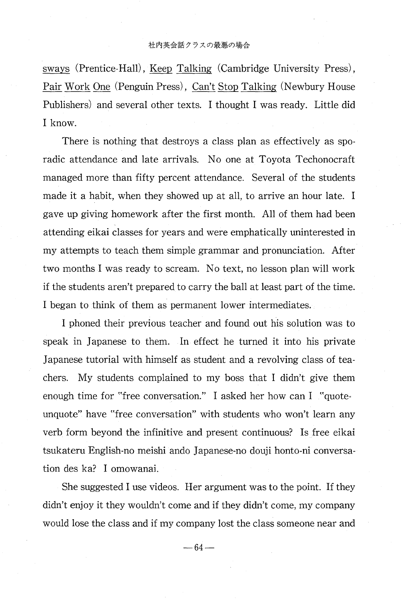sways (Prentice-Hall), Keep Talking (Cambridge University Press), Pair Work One (Penguin Press), Can't Stop Talking (Newbury House Publishers) and several other texts. I thought I was ready. Little did I know.

 There is nothing that destroys a class plan as effectively as sporadic attendance and late arrivals. No one at Toyota Techonocraft managed more than fifty percent attendance. Several of the students made it a habit, when they showed up at all, to arrive an hour late. I gave up giving homework after the first month. All of them had been attending eikai classes for years and were emphatically uninterested in my attempts to teach them simple grammar and pronunciation. After two months I was ready to scream. No text, no lesson plan will work if the students aren't prepared to carry the ball at least part of the time. I began to think of them as permanent lower intermediates.

I phoned their previous teacher and found out his solution was to speak in Japanese to them. In effect he turned it into his private Japanese tutorial with himself as student and a revolving class of teachers. My students complained to my boss that I didn't give them enough time for "free conversation." I asked her how can I "quoteunquote" have "free conversation" with students who won't learn any verb form beyond the infinitive and present continuous? Is free eikai tsukateru English-no meishi ando Japanese-no douji honto-ni conversation des ka? I omowanai.

She suggested I use videos. Her argument was to the point. If they didn't enjoy it they wouldn't come and if they didn't come, my company would lose the class and if my company lost the class someone near and

 $-64-$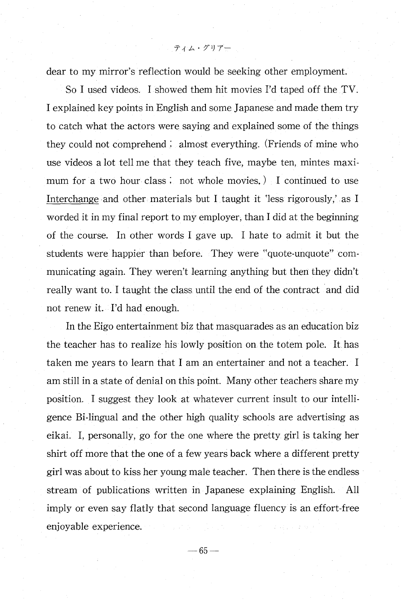ティム・グリアー

dear to my mirror's reflection would be seeking other employment.

So I used videos. I showed them hit movies I'd taped off the TV. I explained key points in English and some Japanese and made them try to catch what the actors were saying and explained some of the things they could not comprehend ; almost everything. (Friends of mine who use videos a lot tell me that they teach five, maybe ten, mintes maximum for a two hour class ; not whole movies. ) I continued to use Interchange and other materials but I taught it 'less rigorously,' as I worded it in my final report to my employer, than I did at the beginning of the course. In other words I gave up. I hate to admit it but the students were happier than before. They were "quote-unquote" communicating again. They weren't learning anything but then they didn't really want to. I taught the class until the end of the contract and did not renew it. I'd had enough.

In the Eigo entertainment biz that masquarades as an education biz the teacher has to realize his lowly position on the totem pole. It has taken me years to learn that I am an entertainer and not a teacher. I am still in a state of denial on this point. Many other teachers share my position. I suggest they look at whatever current insult to our intelligence Bi-lingual and the other high quality schools are advertising as eikai. I, personally, go for the one where the pretty girl is taking her shirt off more that the one of a few years back where a different pretty girl was about to kiss her young male teacher. Then there is the endless stream of publications written in Japanese explaining English. All imply or even say flatly that second language fluency is an effort-free enjoyable experience.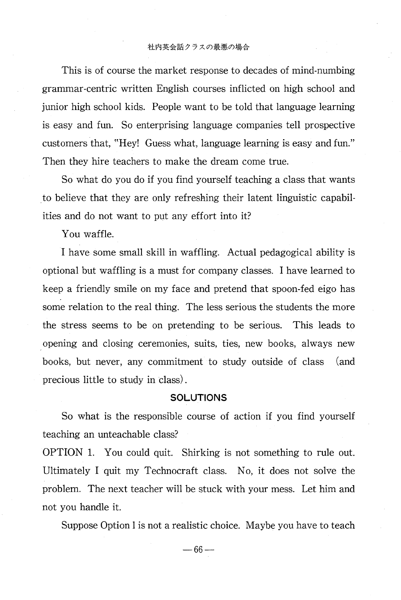#### 社内英会話クラスの最悪の場合

This is of course the market response to decades of mind-numbing grammar-centric written English courses inflicted on high school and junior high school kids. People want to be told that language learning is easy and fun. So enterprising language companies tell prospective customers that, "Hey! Guess what, language learning is easy and fun." Then they hire teachers to make the dream come true.

So what do you do if you find yourself teaching a class that wants to believe that they are only refreshing their latent linguistic capabilities and do not want to put any effort into it?

You waffle.

 I have some small skill in waffling. Actual pedagogical ability is optional but waffling is a must for company classes. I have learned to keep a friendly smile on my face and pretend that spoon-fed eigo has some relation to the real thing. The less serious the students the more the stress seems to be on pretending to be serious. This leads to opening and closing ceremonies, suits, ties, new books, always new books, but never, any commitment to study outside of class (and precious little to study in class) .

## **SOLUTIONS**

So what is the responsible course of action if you find yourself teaching an unteachable class?

OPTION 1. You could quit. Shirking is not something to rule out. Ultimately I quit my Technocraft class. No, it does not solve the problem. The next teacher will be stuck with your mess. Let him and not you handle it.

Suppose Option 1 is not a realistic choice. Maybe you have to teach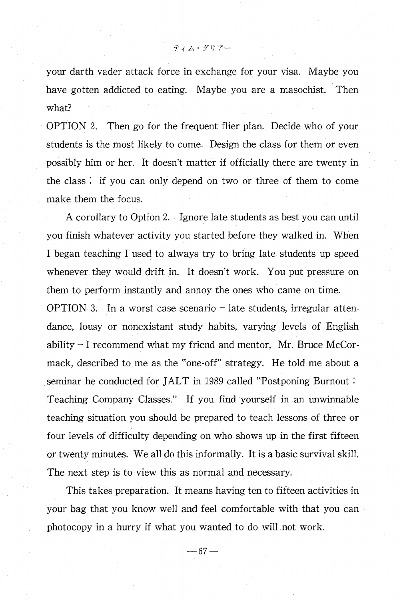your darth vader attack force in exchange for your visa. Maybe you have gotten addicted to eating. Maybe you are a masochist. Then what?

OPTION 2. Then go for the frequent flier plan. Decide who of your students is the most likely to come. Design the class for them or even possibly him or her. It doesn't matter if officially there are twenty in the class ; if you can only depend on two or three of them to come make them the focus.

A corollary to Option 2. Ignore late students as best you can until you finish whatever activity you started before they walked in. When I began teaching I used to always try to bring late students up speed whenever they would drift in. It doesn't work. You put pressure on them to perform instantly and annoy the ones who came on time. OPTION 3. In a worst case scenario  $-$  late students, irregular attendance, lousy or nonexistant study habits, varying levels of English ability — I recommend what my friend and mentor, Mr. Bruce McCormack, described to me as the "one-off" strategy. He told me about a seminar he conducted for JALT in 1989 called "Postponing Burnout Teaching Company Classes." If you find yourself in an unwinnable teaching situation you should be prepared to teach lessons of three or four levels of difficulty depending on who shows up in the first fifteen or twenty minutes. We all do this informally. It is a basic survival skill. The next step is to view this as normal and necessary.

This takes preparation. It means having ten to fifteen activities in your bag that you know well and feel comfortable with that you can photocopy in a hurry if what you wanted to do will not work.

 $-67-$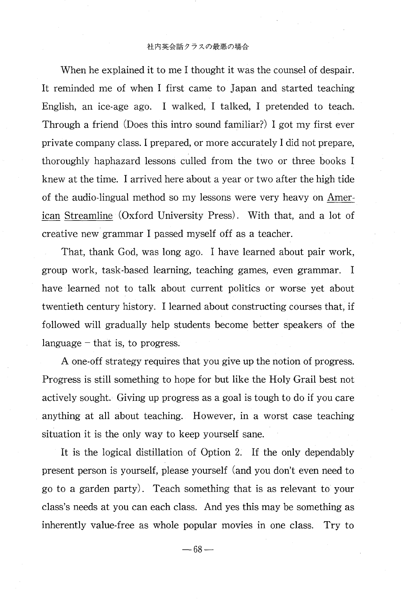#### 社内英会話クラスの最悪の場合

 When he explained it to me I thought it was the counsel of despair. It reminded me of when I first came to Japan and started teaching English, an ice-age ago. I walked, I talked, I pretended to teach. Through a friend (Does this intro sound familiar?) I got my first ever private company class. I prepared, or more accurately I did not prepare, thoroughly haphazard lessons culled from the two or three books I knew at the time. I arrived here about a year or two after the high tide of the audio-lingual method so my lessons were very heavy on American Streamline (Oxford University Press) . With that, and a lot of creative new grammar I passed myself off as a teacher.

That, thank God, was long ago. I have learned about pair work, group work, task-based learning, teaching games, even grammar. I have learned not to talk about current politics or worse yet about twentieth century history. I learned about constructing courses that, if followed will gradually help students become better speakers of the language – that is, to progress.

A one-off strategy requires that you give up the notion of progress. Progress is still something to hope for but like the Holy Grail best not actively sought. Giving up progress as a goal is tough to do if you care anything at all about teaching. However, in a worst case teaching situation it is the only way to keep yourself sane.

It is the logical distillation of Option 2. If the only dependably present person is yourself, please yourself (and you don't even need to go to a garden party). Teach something that is as relevant to your class's needs at you can each class. And yes this may be something as inherently value-free as whole popular movies in one class. Try to

 $-68-$